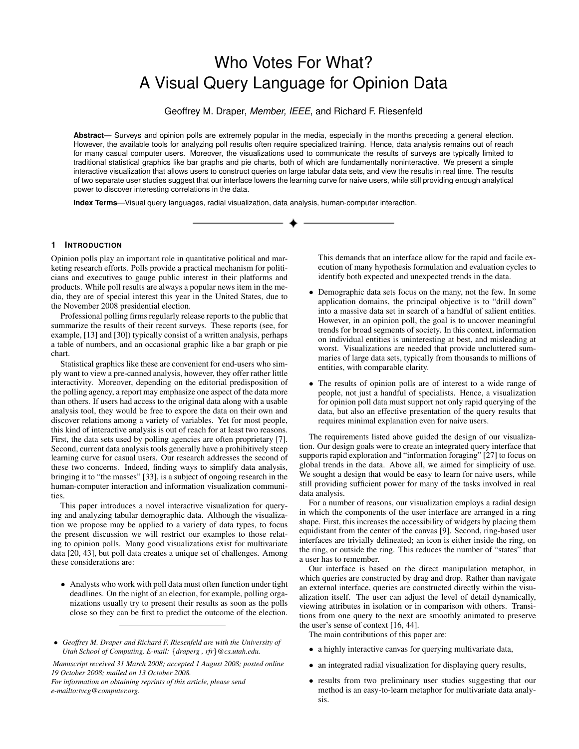# Who Votes For What? A Visual Query Language for Opinion Data

Geoffrey M. Draper, *Member, IEEE*, and Richard F. Riesenfeld

**Abstract**— Surveys and opinion polls are extremely popular in the media, especially in the months preceding a general election. However, the available tools for analyzing poll results often require specialized training. Hence, data analysis remains out of reach for many casual computer users. Moreover, the visualizations used to communicate the results of surveys are typically limited to traditional statistical graphics like bar graphs and pie charts, both of which are fundamentally noninteractive. We present a simple interactive visualization that allows users to construct queries on large tabular data sets, and view the results in real time. The results of two separate user studies suggest that our interface lowers the learning curve for naive users, while still providing enough analytical power to discover interesting correlations in the data.

**Index Terms**—Visual query languages, radial visualization, data analysis, human-computer interaction.

## **1 INTRODUCTION**

Opinion polls play an important role in quantitative political and marketing research efforts. Polls provide a practical mechanism for politicians and executives to gauge public interest in their platforms and products. While poll results are always a popular news item in the media, they are of special interest this year in the United States, due to the November 2008 presidential election.

Professional polling firms regularly release reports to the public that summarize the results of their recent surveys. These reports (see, for example, [13] and [30]) typically consist of a written analysis, perhaps a table of numbers, and an occasional graphic like a bar graph or pie chart.

Statistical graphics like these are convenient for end-users who simply want to view a pre-canned analysis, however, they offer rather little interactivity. Moreover, depending on the editorial predisposition of the polling agency, a report may emphasize one aspect of the data more than others. If users had access to the original data along with a usable analysis tool, they would be free to expore the data on their own and discover relations among a variety of variables. Yet for most people, this kind of interactive analysis is out of reach for at least two reasons. First, the data sets used by polling agencies are often proprietary [7]. Second, current data analysis tools generally have a prohibitively steep learning curve for casual users. Our research addresses the second of these two concerns. Indeed, finding ways to simplify data analysis, bringing it to "the masses" [33], is a subject of ongoing research in the human-computer interaction and information visualization communities.

This paper introduces a novel interactive visualization for querying and analyzing tabular demographic data. Although the visualization we propose may be applied to a variety of data types, to focus the present discussion we will restrict our examples to those relating to opinion polls. Many good visualizations exist for multivariate data [20, 43], but poll data creates a unique set of challenges. Among these considerations are:

- Analysts who work with poll data must often function under tight deadlines. On the night of an election, for example, polling organizations usually try to present their results as soon as the polls close so they can be first to predict the outcome of the election.
- *Geoffrey M. Draper and Richard F. Riesenfeld are with the University of Utah School of Computing, E-mail:* {*draperg , rfr*}*@cs.utah.edu.*

*Manuscript received 31 March 2008; accepted 1 August 2008; posted online 19 October 2008; mailed on 13 October 2008. For information on obtaining reprints of this article, please send e-mailto:tvcg@computer.org.*

This demands that an interface allow for the rapid and facile execution of many hypothesis formulation and evaluation cycles to identify both expected and unexpected trends in the data.

- Demographic data sets focus on the many, not the few. In some application domains, the principal objective is to "drill down" into a massive data set in search of a handful of salient entities. However, in an opinion poll, the goal is to uncover meaningful trends for broad segments of society. In this context, information on individual entities is uninteresting at best, and misleading at worst. Visualizations are needed that provide uncluttered summaries of large data sets, typically from thousands to millions of entities, with comparable clarity.
- The results of opinion polls are of interest to a wide range of people, not just a handful of specialists. Hence, a visualization for opinion poll data must support not only rapid querying of the data, but also an effective presentation of the query results that requires minimal explanation even for naive users.

The requirements listed above guided the design of our visualization. Our design goals were to create an integrated query interface that supports rapid exploration and "information foraging" [27] to focus on global trends in the data. Above all, we aimed for simplicity of use. We sought a design that would be easy to learn for naive users, while still providing sufficient power for many of the tasks involved in real data analysis.

For a number of reasons, our visualization employs a radial design in which the components of the user interface are arranged in a ring shape. First, this increases the accessibility of widgets by placing them equidistant from the center of the canvas [9]. Second, ring-based user interfaces are trivially delineated; an icon is either inside the ring, on the ring, or outside the ring. This reduces the number of "states" that a user has to remember.

Our interface is based on the direct manipulation metaphor, in which queries are constructed by drag and drop. Rather than navigate an external interface, queries are constructed directly within the visualization itself. The user can adjust the level of detail dynamically, viewing attributes in isolation or in comparison with others. Transitions from one query to the next are smoothly animated to preserve the user's sense of context [16, 44].

The main contributions of this paper are:

- a highly interactive canvas for querying multivariate data,
- an integrated radial visualization for displaying query results,
- results from two preliminary user studies suggesting that our method is an easy-to-learn metaphor for multivariate data analysis.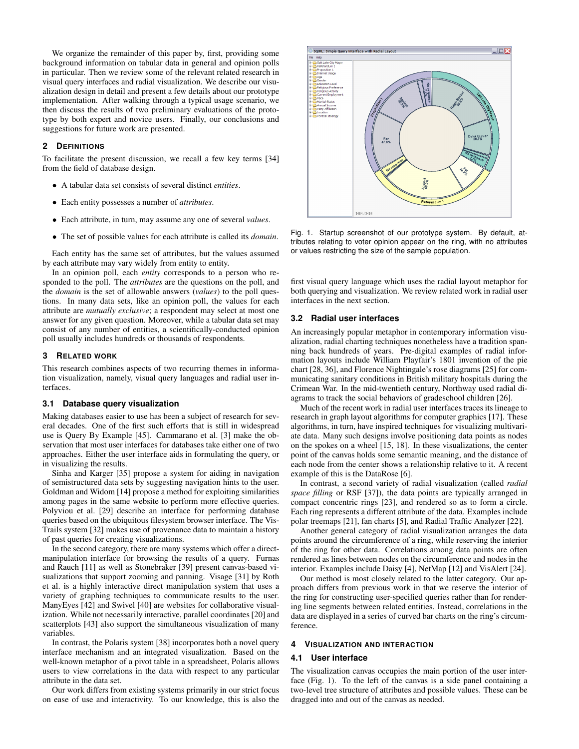We organize the remainder of this paper by, first, providing some background information on tabular data in general and opinion polls in particular. Then we review some of the relevant related research in visual query interfaces and radial visualization. We describe our visualization design in detail and present a few details about our prototype implementation. After walking through a typical usage scenario, we then discuss the results of two preliminary evaluations of the prototype by both expert and novice users. Finally, our conclusions and suggestions for future work are presented.

## **2 DEFINITIONS**

To facilitate the present discussion, we recall a few key terms [34] from the field of database design.

- A tabular data set consists of several distinct *entities*.
- Each entity possesses a number of *attributes*.
- Each attribute, in turn, may assume any one of several *values*.
- The set of possible values for each attribute is called its *domain*.

Each entity has the same set of attributes, but the values assumed by each attribute may vary widely from entity to entity.

In an opinion poll, each *entity* corresponds to a person who responded to the poll. The *attributes* are the questions on the poll, and the *domain* is the set of allowable answers (*values*) to the poll questions. In many data sets, like an opinion poll, the values for each attribute are *mutually exclusive*; a respondent may select at most one answer for any given question. Moreover, while a tabular data set may consist of any number of entities, a scientifically-conducted opinion poll usually includes hundreds or thousands of respondents.

## **3 RELATED WORK**

This research combines aspects of two recurring themes in information visualization, namely, visual query languages and radial user interfaces.

## **3.1 Database query visualization**

Making databases easier to use has been a subject of research for several decades. One of the first such efforts that is still in widespread use is Query By Example [45]. Cammarano et al. [3] make the observation that most user interfaces for databases take either one of two approaches. Either the user interface aids in formulating the query, or in visualizing the results.

Sinha and Karger [35] propose a system for aiding in navigation of semistructured data sets by suggesting navigation hints to the user. Goldman and Widom [14] propose a method for exploiting similarities among pages in the same website to perform more effective queries. Polyviou et al. [29] describe an interface for performing database queries based on the ubiquitous filesystem browser interface. The Vis-Trails system [32] makes use of provenance data to maintain a history of past queries for creating visualizations.

In the second category, there are many systems which offer a directmanipulation interface for browsing the results of a query. Furnas and Rauch [11] as well as Stonebraker [39] present canvas-based visualizations that support zooming and panning. Visage [31] by Roth et al. is a highly interactive direct manipulation system that uses a variety of graphing techniques to communicate results to the user. ManyEyes [42] and Swivel [40] are websites for collaborative visualization. While not necessarily interactive, parallel coordinates [20] and scatterplots [43] also support the simultaneous visualization of many variables.

In contrast, the Polaris system [38] incorporates both a novel query interface mechanism and an integrated visualization. Based on the well-known metaphor of a pivot table in a spreadsheet, Polaris allows users to view correlations in the data with respect to any particular attribute in the data set.

Our work differs from existing systems primarily in our strict focus on ease of use and interactivity. To our knowledge, this is also the



Fig. 1. Startup screenshot of our prototype system. By default, attributes relating to voter opinion appear on the ring, with no attributes or values restricting the size of the sample population.

first visual query language which uses the radial layout metaphor for both querying and visualization. We review related work in radial user interfaces in the next section.

#### **3.2 Radial user interfaces**

An increasingly popular metaphor in contemporary information visualization, radial charting techniques nonetheless have a tradition spanning back hundreds of years. Pre-digital examples of radial information layouts include William Playfair's 1801 invention of the pie chart [28, 36], and Florence Nightingale's rose diagrams [25] for communicating sanitary conditions in British military hospitals during the Crimean War. In the mid-twentieth century, Northway used radial diagrams to track the social behaviors of gradeschool children [26].

Much of the recent work in radial user interfaces traces its lineage to research in graph layout algorithms for computer graphics [17]. These algorithms, in turn, have inspired techniques for visualizing multivariate data. Many such designs involve positioning data points as nodes on the spokes on a wheel [15, 18]. In these visualizations, the center point of the canvas holds some semantic meaning, and the distance of each node from the center shows a relationship relative to it. A recent example of this is the DataRose [6].

In contrast, a second variety of radial visualization (called *radial space filling* or RSF [37]), the data points are typically arranged in compact concentric rings [23], and rendered so as to form a circle. Each ring represents a different attribute of the data. Examples include polar treemaps [21], fan charts [5], and Radial Traffic Analyzer [22].

Another general category of radial visualization arranges the data points around the circumference of a ring, while reserving the interior of the ring for other data. Correlations among data points are often rendered as lines between nodes on the circumference and nodes in the interior. Examples include Daisy [4], NetMap [12] and VisAlert [24].

Our method is most closely related to the latter category. Our approach differs from previous work in that we reserve the interior of the ring for constructing user-specified queries rather than for rendering line segments between related entities. Instead, correlations in the data are displayed in a series of curved bar charts on the ring's circumference.

## **4 VISUALIZATION AND INTERACTION**

## **4.1 User interface**

The visualization canvas occupies the main portion of the user interface (Fig. 1). To the left of the canvas is a side panel containing a two-level tree structure of attributes and possible values. These can be dragged into and out of the canvas as needed.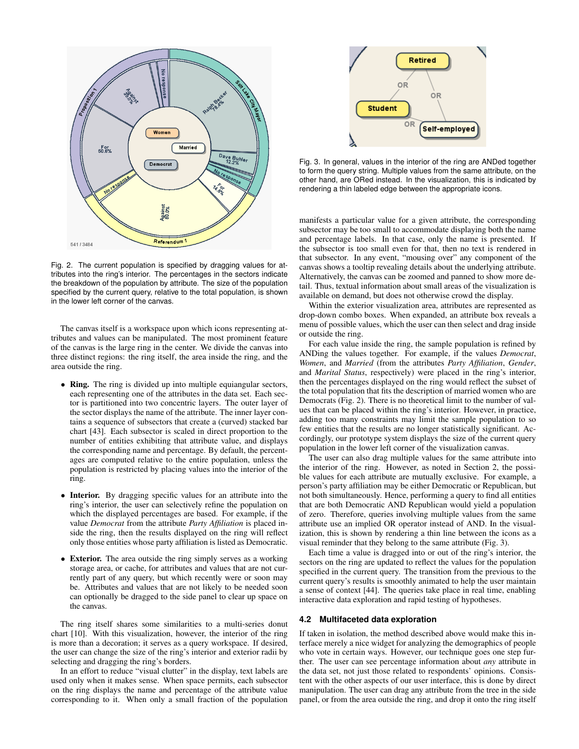

Fig. 2. The current population is specified by dragging values for attributes into the ring's interior. The percentages in the sectors indicate the breakdown of the population by attribute. The size of the population specified by the current query, relative to the total population, is shown in the lower left corner of the canvas.

The canvas itself is a workspace upon which icons representing attributes and values can be manipulated. The most prominent feature of the canvas is the large ring in the center. We divide the canvas into three distinct regions: the ring itself, the area inside the ring, and the area outside the ring.

- Ring. The ring is divided up into multiple equiangular sectors, each representing one of the attributes in the data set. Each sector is partitioned into two concentric layers. The outer layer of the sector displays the name of the attribute. The inner layer contains a sequence of subsectors that create a (curved) stacked bar chart [43]. Each subsector is scaled in direct proportion to the number of entities exhibiting that attribute value, and displays the corresponding name and percentage. By default, the percentages are computed relative to the entire population, unless the population is restricted by placing values into the interior of the ring.
- Interior. By dragging specific values for an attribute into the ring's interior, the user can selectively refine the population on which the displayed percentages are based. For example, if the value *Democrat* from the attribute *Party Affiliation* is placed inside the ring, then the results displayed on the ring will reflect only those entities whose party affiliation is listed as Democratic.
- Exterior. The area outside the ring simply serves as a working storage area, or cache, for attributes and values that are not currently part of any query, but which recently were or soon may be. Attributes and values that are not likely to be needed soon can optionally be dragged to the side panel to clear up space on the canvas.

The ring itself shares some similarities to a multi-series donut chart [10]. With this visualization, however, the interior of the ring is more than a decoration; it serves as a query workspace. If desired, the user can change the size of the ring's interior and exterior radii by selecting and dragging the ring's borders.

In an effort to reduce "visual clutter" in the display, text labels are used only when it makes sense. When space permits, each subsector on the ring displays the name and percentage of the attribute value corresponding to it. When only a small fraction of the population



Fig. 3. In general, values in the interior of the ring are ANDed together to form the query string. Multiple values from the same attribute, on the other hand, are ORed instead. In the visualization, this is indicated by rendering a thin labeled edge between the appropriate icons.

manifests a particular value for a given attribute, the corresponding subsector may be too small to accommodate displaying both the name and percentage labels. In that case, only the name is presented. If the subsector is too small even for that, then no text is rendered in that subsector. In any event, "mousing over" any component of the canvas shows a tooltip revealing details about the underlying attribute. Alternatively, the canvas can be zoomed and panned to show more detail. Thus, textual information about small areas of the visualization is available on demand, but does not otherwise crowd the display.

Within the exterior visualization area, attributes are represented as drop-down combo boxes. When expanded, an attribute box reveals a menu of possible values, which the user can then select and drag inside or outside the ring.

For each value inside the ring, the sample population is refined by ANDing the values together. For example, if the values *Democrat*, *Women*, and *Married* (from the attributes *Party Affiliation*, *Gender*, and *Marital Status*, respectively) were placed in the ring's interior, then the percentages displayed on the ring would reflect the subset of the total population that fits the description of married women who are Democrats (Fig. 2). There is no theoretical limit to the number of values that can be placed within the ring's interior. However, in practice, adding too many constraints may limit the sample population to so few entities that the results are no longer statistically significant. Accordingly, our prototype system displays the size of the current query population in the lower left corner of the visualization canvas.

The user can also drag multiple values for the same attribute into the interior of the ring. However, as noted in Section 2, the possible values for each attribute are mutually exclusive. For example, a person's party affiliation may be either Democratic or Republican, but not both simultaneously. Hence, performing a query to find all entities that are both Democratic AND Republican would yield a population of zero. Therefore, queries involving multiple values from the same attribute use an implied OR operator instead of AND. In the visualization, this is shown by rendering a thin line between the icons as a visual reminder that they belong to the same attribute (Fig. 3).

Each time a value is dragged into or out of the ring's interior, the sectors on the ring are updated to reflect the values for the population specified in the current query. The transition from the previous to the current query's results is smoothly animated to help the user maintain a sense of context [44]. The queries take place in real time, enabling interactive data exploration and rapid testing of hypotheses.

## **4.2 Multifaceted data exploration**

If taken in isolation, the method described above would make this interface merely a nice widget for analyzing the demographics of people who vote in certain ways. However, our technique goes one step further. The user can see percentage information about *any* attribute in the data set, not just those related to respondents' opinions. Consistent with the other aspects of our user interface, this is done by direct manipulation. The user can drag any attribute from the tree in the side panel, or from the area outside the ring, and drop it onto the ring itself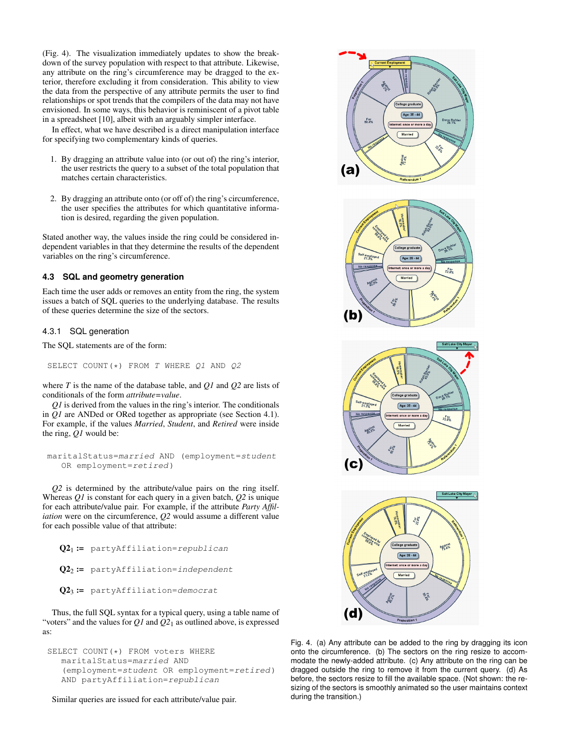(Fig. 4). The visualization immediately updates to show the breakdown of the survey population with respect to that attribute. Likewise, any attribute on the ring's circumference may be dragged to the exterior, therefore excluding it from consideration. This ability to view the data from the perspective of any attribute permits the user to find relationships or spot trends that the compilers of the data may not have envisioned. In some ways, this behavior is reminiscent of a pivot table in a spreadsheet [10], albeit with an arguably simpler interface.

In effect, what we have described is a direct manipulation interface for specifying two complementary kinds of queries.

- 1. By dragging an attribute value into (or out of) the ring's interior, the user restricts the query to a subset of the total population that matches certain characteristics.
- 2. By dragging an attribute onto (or off of) the ring's circumference, the user specifies the attributes for which quantitative information is desired, regarding the given population.

Stated another way, the values inside the ring could be considered independent variables in that they determine the results of the dependent variables on the ring's circumference.

## **4.3 SQL and geometry generation**

Each time the user adds or removes an entity from the ring, the system issues a batch of SQL queries to the underlying database. The results of these queries determine the size of the sectors.

## 4.3.1 SQL generation

The SQL statements are of the form:

SELECT COUNT(\*) FROM T WHERE Q1 AND Q2

where *T* is the name of the database table, and *Q1* and *Q2* are lists of conditionals of the form *attribute=value*.

*Q1* is derived from the values in the ring's interior. The conditionals in *Q1* are ANDed or ORed together as appropriate (see Section 4.1). For example, if the values *Married*, *Student*, and *Retired* were inside the ring, *Q1* would be:

maritalStatus=married AND (employment=student OR employment=retired )

*Q2* is determined by the attribute/value pairs on the ring itself. Whereas *Q1* is constant for each query in a given batch, *Q2* is unique for each attribute/value pair. For example, if the attribute *Party Affiliation* were on the circumference, *Q2* would assume a different value for each possible value of that attribute:

```
Q2_1 := party Affiliation=republican
Q2<sub>2</sub> := partyAffiliation=independent
```
 $Q2<sub>3</sub> :=$  partyAffiliation=democrat

Thus, the full SQL syntax for a typical query, using a table name of "voters" and the values for  $Q_1$  and  $Q_2$ <sub>1</sub> as outlined above, is expressed as:

```
SELECT COUNT(*) FROM voters WHERE
  maritalStatus=married AND
   (employment=student OR employment=retired )
  AND partyAffiliation=republican
```
Similar queries are issued for each attribute/value pair.









Fig. 4. (a) Any attribute can be added to the ring by dragging its icon onto the circumference. (b) The sectors on the ring resize to accommodate the newly-added attribute. (c) Any attribute on the ring can be dragged outside the ring to remove it from the current query. (d) As before, the sectors resize to fill the available space. (Not shown: the resizing of the sectors is smoothly animated so the user maintains context during the transition.)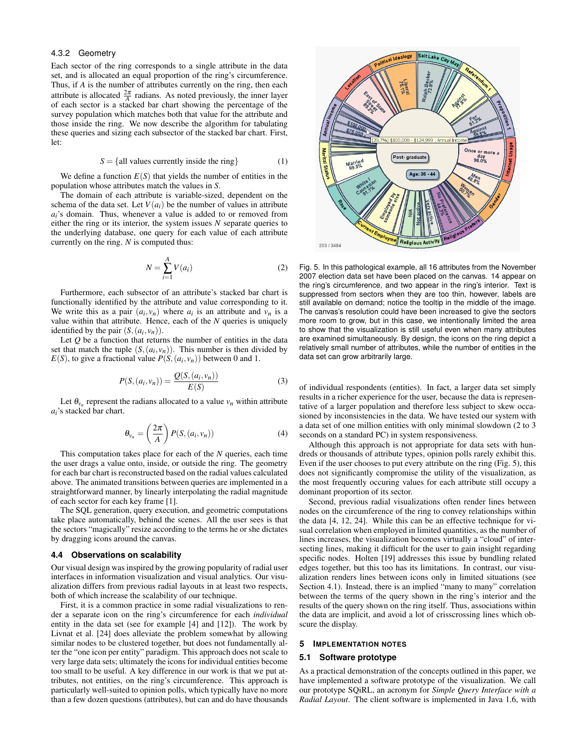# 4.3.2 Geometry

Each sector of the ring corresponds to a single attribute in the data set, and is allocated an equal proportion of the ring's circumference. Thus, if *A* is the number of attributes currently on the ring, then each attribute is allocated  $\frac{2\pi}{A}$  radians. As noted previously, the inner layer of each sector is a stacked bar chart showing the percentage of the survey population which matches both that value for the attribute and those inside the ring. We now describe the algorithm for tabulating these queries and sizing each subsector of the stacked bar chart. First, let:

$$
S = \{ \text{all values currently inside the ring} \}
$$
 (1)

We define a function  $E(S)$  that yields the number of entities in the population whose attributes match the values in *S*.

The domain of each attribute is variable-sized, dependent on the schema of the data set. Let  $V(a_i)$  be the number of values in attribute  $a_i$ 's domain. Thus, whenever a value is added to or removed from either the ring or its interior, the system issues *N* separate queries to the underlying database, one query for each value of each attribute currently on the ring. *N* is computed thus:

$$
N = \sum_{i=1}^{A} V(a_i)
$$
 (2)

Furthermore, each subsector of an attribute's stacked bar chart is functionally identified by the attribute and value corresponding to it. We write this as a pair  $(a_i, v_n)$  where  $a_i$  is an attribute and  $v_n$  is a value within that attribute. Hence, each of the *N* queries is uniquely identified by the pair  $(S, (a_i, v_n))$ .

Let  $Q$  be a function that returns the number of entities in the data set that match the tuple  $(S, (a_i, v_n))$ . This number is then divided by  $E(S)$ , to give a fractional value  $P(S,(a_i,v_n))$  between 0 and 1.

$$
P(S,(a_i,v_n)) = \frac{Q(S,(a_i,v_n))}{E(S)}
$$
 (3)

Let  $\theta_{v_n}$  represent the radians allocated to a value  $v_n$  within attribute *ai*'s stacked bar chart.

$$
\theta_{v_n} = \left(\frac{2\pi}{A}\right) P(S,(a_i,v_n)) \tag{4}
$$

This computation takes place for each of the *N* queries, each time the user drags a value onto, inside, or outside the ring. The geometry for each bar chart is reconstructed based on the radial values calculated above. The animated transitions between queries are implemented in a straightforward manner, by linearly interpolating the radial magnitude of each sector for each key frame [1].

The SQL generation, query execution, and geometric computations take place automatically, behind the scenes. All the user sees is that the sectors "magically" resize according to the terms he or she dictates by dragging icons around the canvas.

#### **4.4 Observations on scalability**

Our visual design was inspired by the growing popularity of radial user interfaces in information visualization and visual analytics. Our visualization differs from previous radial layouts in at least two respects, both of which increase the scalability of our technique.

First, it is a common practice in some radial visualizations to render a separate icon on the ring's circumference for each *individual* entity in the data set (see for example [4] and [12]). The work by Livnat et al. [24] does alleviate the problem somewhat by allowing similar nodes to be clustered together, but does not fundamentally alter the "one icon per entity" paradigm. This approach does not scale to very large data sets; ultimately the icons for individual entities become too small to be useful. A key difference in our work is that we put attributes, not entities, on the ring's circumference. This approach is particularly well-suited to opinion polls, which typically have no more than a few dozen questions (attributes), but can and do have thousands



Fig. 5. In this pathological example, all 16 attributes from the November 2007 election data set have been placed on the canvas. 14 appear on the ring's circumference, and two appear in the ring's interior. Text is suppressed from sectors when they are too thin, however, labels are still available on demand; notice the tooltip in the middle of the image. The canvas's resolution could have been increased to give the sectors more room to grow, but in this case, we intentionally limited the area to show that the visualization is still useful even when many attributes are examined simultaneously. By design, the icons on the ring depict a relatively small number of attributes, while the number of entities in the data set can grow arbitrarily large.

of individual respondents (entities). In fact, a larger data set simply results in a richer experience for the user, because the data is representative of a larger population and therefore less subject to skew occasioned by inconsistencies in the data. We have tested our system with a data set of one million entities with only minimal slowdown (2 to 3 seconds on a standard PC) in system responsiveness.

Although this approach is not appropriate for data sets with hundreds or thousands of attribute types, opinion polls rarely exhibit this. Even if the user chooses to put every attribute on the ring (Fig. 5), this does not significantly compromise the utility of the visualization, as the most frequently occuring values for each attribute still occupy a dominant proportion of its sector.

Second, previous radial visualizations often render lines between nodes on the circumference of the ring to convey relationships within the data [4, 12, 24]. While this can be an effective technique for visual correlation when employed in limited quantities, as the number of lines increases, the visualization becomes virtually a "cloud" of intersecting lines, making it difficult for the user to gain insight regarding specific nodes. Holten [19] addresses this issue by bundling related edges together, but this too has its limitations. In contrast, our visualization renders lines between icons only in limited situations (see Section 4.1). Instead, there is an implied "many to many" correlation between the terms of the query shown in the ring's interior and the results of the query shown on the ring itself. Thus, associations within the data are implicit, and avoid a lot of crisscrossing lines which obscure the display.

## **5 IMPLEMENTATION NOTES**

## **5.1 Software prototype**

As a practical demonstration of the concepts outlined in this paper, we have implemented a software prototype of the visualization. We call our prototype SQiRL, an acronym for *Simple Query Interface with a Radial Layout*. The client software is implemented in Java 1.6, with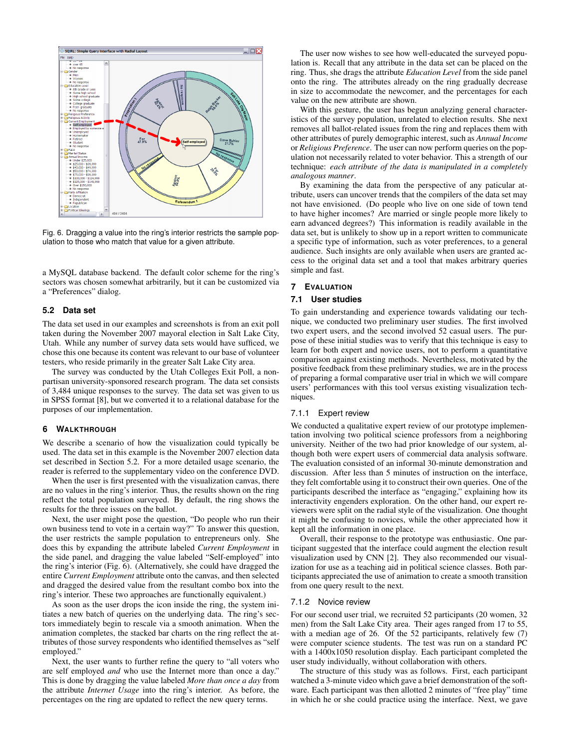

Fig. 6. Dragging a value into the ring's interior restricts the sample population to those who match that value for a given attribute.

a MySQL database backend. The default color scheme for the ring's sectors was chosen somewhat arbitrarily, but it can be customized via a "Preferences" dialog.

## **5.2 Data set**

The data set used in our examples and screenshots is from an exit poll taken during the November 2007 mayoral election in Salt Lake City, Utah. While any number of survey data sets would have sufficed, we chose this one because its content was relevant to our base of volunteer testers, who reside primarily in the greater Salt Lake City area.

The survey was conducted by the Utah Colleges Exit Poll, a nonpartisan university-sponsored research program. The data set consists of 3,484 unique responses to the survey. The data set was given to us in SPSS format [8], but we converted it to a relational database for the purposes of our implementation.

## **6 WALKTHROUGH**

We describe a scenario of how the visualization could typically be used. The data set in this example is the November 2007 election data set described in Section 5.2. For a more detailed usage scenario, the reader is referred to the supplementary video on the conference DVD.

When the user is first presented with the visualization canvas, there are no values in the ring's interior. Thus, the results shown on the ring reflect the total population surveyed. By default, the ring shows the results for the three issues on the ballot.

Next, the user might pose the question, "Do people who run their own business tend to vote in a certain way?" To answer this question, the user restricts the sample population to entrepreneurs only. She does this by expanding the attribute labeled *Current Employment* in the side panel, and dragging the value labeled "Self-employed" into the ring's interior (Fig. 6). (Alternatively, she could have dragged the entire *Current Employment* attribute onto the canvas, and then selected and dragged the desired value from the resultant combo box into the ring's interior. These two approaches are functionally equivalent.)

As soon as the user drops the icon inside the ring, the system initiates a new batch of queries on the underlying data. The ring's sectors immediately begin to rescale via a smooth animation. When the animation completes, the stacked bar charts on the ring reflect the attributes of those survey respondents who identified themselves as "self employed."

Next, the user wants to further refine the query to "all voters who are self employed *and* who use the Internet more than once a day." This is done by dragging the value labeled *More than once a day* from the attribute *Internet Usage* into the ring's interior. As before, the percentages on the ring are updated to reflect the new query terms.

The user now wishes to see how well-educated the surveyed population is. Recall that any attribute in the data set can be placed on the ring. Thus, she drags the attribute *Education Level* from the side panel onto the ring. The attributes already on the ring gradually decrease in size to accommodate the newcomer, and the percentages for each value on the new attribute are shown.

With this gesture, the user has begun analyzing general characteristics of the survey population, unrelated to election results. She next removes all ballot-related issues from the ring and replaces them with other attributes of purely demographic interest, such as *Annual Income* or *Religious Preference*. The user can now perform queries on the population not necessarily related to voter behavior. This a strength of our technique: *each attribute of the data is manipulated in a completely analogous manner*.

By examining the data from the perspective of any paticular attribute, users can uncover trends that the compilers of the data set may not have envisioned. (Do people who live on one side of town tend to have higher incomes? Are married or single people more likely to earn advanced degrees?) This information is readily available in the data set, but is unlikely to show up in a report written to communicate a specific type of information, such as voter preferences, to a general audience. Such insights are only available when users are granted access to the original data set and a tool that makes arbitrary queries simple and fast.

# **7 EVALUATION**

## **7.1 User studies**

To gain understanding and experience towards validating our technique, we conducted two preliminary user studies. The first involved two expert users, and the second involved 52 casual users. The purpose of these initial studies was to verify that this technique is easy to learn for both expert and novice users, not to perform a quantitative comparison against existing methods. Nevertheless, motivated by the positive feedback from these preliminary studies, we are in the process of preparing a formal comparative user trial in which we will compare users' performances with this tool versus existing visualization techniques.

## 7.1.1 Expert review

We conducted a qualitative expert review of our prototype implementation involving two political science professors from a neighboring university. Neither of the two had prior knowledge of our system, although both were expert users of commercial data analysis software. The evaluation consisted of an informal 30-minute demonstration and discussion. After less than 5 minutes of instruction on the interface, they felt comfortable using it to construct their own queries. One of the participants described the interface as "engaging," explaining how its interactivity engenders exploration. On the other hand, our expert reviewers were split on the radial style of the visualization. One thought it might be confusing to novices, while the other appreciated how it kept all the information in one place.

Overall, their response to the prototype was enthusiastic. One participant suggested that the interface could augment the election result visualization used by CNN [2]. They also recommended our visualization for use as a teaching aid in political science classes. Both participants appreciated the use of animation to create a smooth transition from one query result to the next.

#### 7.1.2 Novice review

For our second user trial, we recruited 52 participants (20 women, 32 men) from the Salt Lake City area. Their ages ranged from 17 to 55, with a median age of 26. Of the 52 participants, relatively few (7) were computer science students. The test was run on a standard PC with a 1400x1050 resolution display. Each participant completed the user study individually, without collaboration with others.

The structure of this study was as follows. First, each participant watched a 3-minute video which gave a brief demonstration of the software. Each participant was then allotted 2 minutes of "free play" time in which he or she could practice using the interface. Next, we gave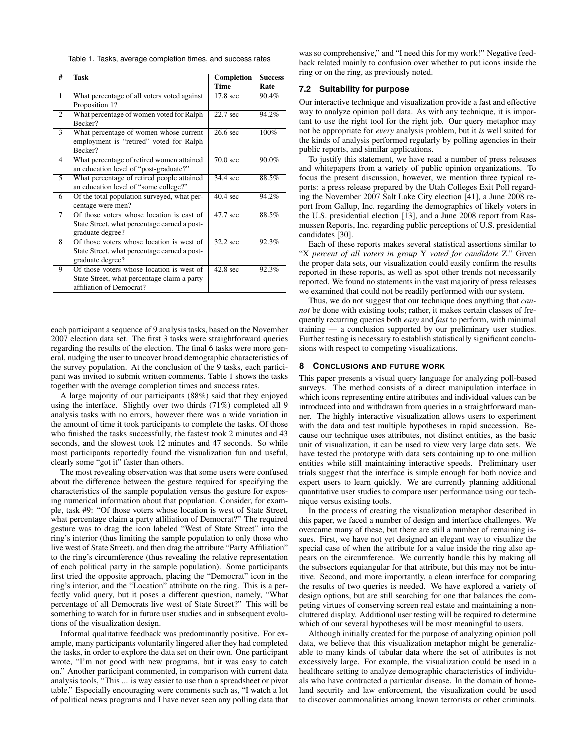Table 1. Tasks, average completion times, and success rates

| #                        | <b>Task</b>                                                                                                          | Completion<br><b>Time</b> | <b>Success</b><br>Rate |
|--------------------------|----------------------------------------------------------------------------------------------------------------------|---------------------------|------------------------|
| 1                        | What percentage of all voters voted against<br>Proposition 1?                                                        | 17.8 sec                  | 90.4%                  |
| 2                        | What percentage of women voted for Ralph<br>Becker?                                                                  | 22.7 sec                  | 94.2%                  |
| 3                        | What percentage of women whose current<br>employment is "retired" voted for Ralph<br>Becker?                         | $26.6$ sec                | 100%                   |
| 4                        | What percentage of retired women attained<br>an education level of "post-graduate?"                                  | $70.0$ sec                | 90.0%                  |
| $\overline{\mathcal{L}}$ | What percentage of retired people attained<br>an education level of "some college?"                                  | 34.4 sec                  | 88.5%                  |
| 6                        | Of the total population surveyed, what per-<br>centage were men?                                                     | $40.4 \text{ sec}$        | 94.2%                  |
| 7                        | Of those voters whose location is east of<br>State Street, what percentage earned a post-<br>graduate degree?        | 47.7 sec                  | 88.5%                  |
| 8                        | Of those voters whose location is west of<br>State Street, what percentage earned a post-<br>graduate degree?        | $32.2$ sec                | 92.3%                  |
| 9                        | Of those voters whose location is west of<br>State Street, what percentage claim a party<br>affiliation of Democrat? | $42.8$ sec                | 92.3%                  |

each participant a sequence of 9 analysis tasks, based on the November 2007 election data set. The first 3 tasks were straightforward queries regarding the results of the election. The final 6 tasks were more general, nudging the user to uncover broad demographic characteristics of the survey population. At the conclusion of the 9 tasks, each participant was invited to submit written comments. Table 1 shows the tasks together with the average completion times and success rates.

A large majority of our participants (88%) said that they enjoyed using the interface. Slightly over two thirds (71%) completed all 9 analysis tasks with no errors, however there was a wide variation in the amount of time it took participants to complete the tasks. Of those who finished the tasks successfully, the fastest took 2 minutes and 43 seconds, and the slowest took 12 minutes and 47 seconds. So while most participants reportedly found the visualization fun and useful, clearly some "got it" faster than others.

The most revealing observation was that some users were confused about the difference between the gesture required for specifying the characteristics of the sample population versus the gesture for exposing numerical information about that population. Consider, for example, task #9: "Of those voters whose location is west of State Street, what percentage claim a party affiliation of Democrat?" The required gesture was to drag the icon labeled "West of State Street" into the ring's interior (thus limiting the sample population to only those who live west of State Street), and then drag the attribute "Party Affiliation" to the ring's circumference (thus revealing the relative representation of each political party in the sample population). Some participants first tried the opposite approach, placing the "Democrat" icon in the ring's interior, and the "Location" attribute on the ring. This is a perfectly valid query, but it poses a different question, namely, "What percentage of all Democrats live west of State Street?" This will be something to watch for in future user studies and in subsequent evolutions of the visualization design.

Informal qualitative feedback was predominantly positive. For example, many participants voluntarily lingered after they had completed the tasks, in order to explore the data set on their own. One participant wrote, "I'm not good with new programs, but it was easy to catch on." Another participant commented, in comparison with current data analysis tools, "This ... is way easier to use than a spreadsheet or pivot table." Especially encouraging were comments such as, "I watch a lot of political news programs and I have never seen any polling data that was so comprehensive," and "I need this for my work!" Negative feedback related mainly to confusion over whether to put icons inside the ring or on the ring, as previously noted.

## **7.2 Suitability for purpose**

Our interactive technique and visualization provide a fast and effective way to analyze opinion poll data. As with any technique, it is important to use the right tool for the right job. Our query metaphor may not be appropriate for *every* analysis problem, but it *is* well suited for the kinds of analysis performed regularly by polling agencies in their public reports, and similar applications.

To justify this statement, we have read a number of press releases and whitepapers from a variety of public opinion organizations. To focus the present discussion, however, we mention three typical reports: a press release prepared by the Utah Colleges Exit Poll regarding the November 2007 Salt Lake City election [41], a June 2008 report from Gallup, Inc. regarding the demographics of likely voters in the U.S. presidential election [13], and a June 2008 report from Rasmussen Reports, Inc. regarding public perceptions of U.S. presidential candidates [30].

Each of these reports makes several statistical assertions similar to "X *percent of all voters in group* Y *voted for candidate* Z." Given the proper data sets, our visualization could easily confirm the results reported in these reports, as well as spot other trends not necessarily reported. We found no statements in the vast majority of press releases we examined that could not be readily performed with our system.

Thus, we do not suggest that our technique does anything that *cannot* be done with existing tools; rather, it makes certain classes of frequently recurring queries both *easy* and *fast* to perform, with minimal training — a conclusion supported by our preliminary user studies. Further testing is necessary to establish statistically significant conclusions with respect to competing visualizations.

#### **8 CONCLUSIONS AND FUTURE WORK**

This paper presents a visual query language for analyzing poll-based surveys. The method consists of a direct manipulation interface in which icons representing entire attributes and individual values can be introduced into and withdrawn from queries in a straightforward manner. The highly interactive visualization allows users to experiment with the data and test multiple hypotheses in rapid succession. Because our technique uses attributes, not distinct entities, as the basic unit of visualization, it can be used to view very large data sets. We have tested the prototype with data sets containing up to one million entities while still maintaining interactive speeds. Preliminary user trials suggest that the interface is simple enough for both novice and expert users to learn quickly. We are currently planning additional quantitative user studies to compare user performance using our technique versus existing tools.

In the process of creating the visualization metaphor described in this paper, we faced a number of design and interface challenges. We overcame many of these, but there are still a number of remaining issues. First, we have not yet designed an elegant way to visualize the special case of when the attribute for a value inside the ring also appears on the circumference. We currently handle this by making all the subsectors equiangular for that attribute, but this may not be intuitive. Second, and more importantly, a clean interface for comparing the results of two queries is needed. We have explored a variety of design options, but are still searching for one that balances the competing virtues of conserving screen real estate and maintaining a noncluttered display. Additional user testing will be required to determine which of our several hypotheses will be most meaningful to users.

Although initially created for the purpose of analyzing opinion poll data, we believe that this visualization metaphor might be generalizable to many kinds of tabular data where the set of attributes is not excessively large. For example, the visualization could be used in a healthcare setting to analyze demographic characteristics of individuals who have contracted a particular disease. In the domain of homeland security and law enforcement, the visualization could be used to discover commonalities among known terrorists or other criminals.